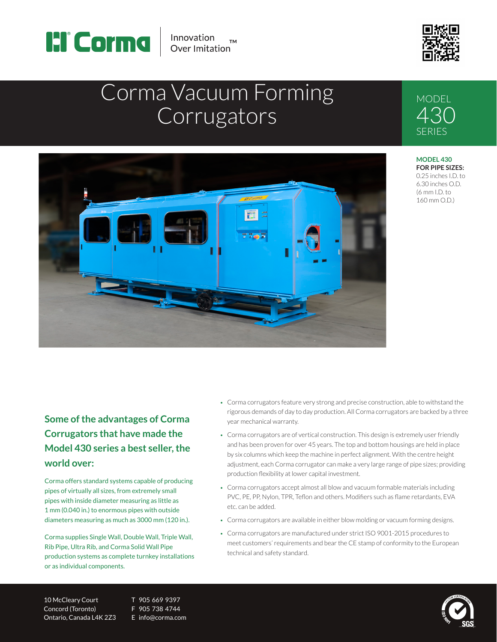

Innovation Over Imitation



# Corma Vacuum Forming **Corrugators**



**Some of the advantages of Corma Corrugators that have made the Model 430 series a best seller, the world over:**

Corma offers standard systems capable of producing pipes of virtually all sizes, from extremely small pipes with inside diameter measuring as little as 1 mm (0.040 in.) to enormous pipes with outside diameters measuring as much as 3000 mm (120 in.).

Corma supplies Single Wall, Double Wall, Triple Wall, Rib Pipe, Ultra Rib, and Corma Solid Wall Pipe production systems as complete turnkey installations or as individual components.

- Corma corrugators feature very strong and precise construction, able to withstand the rigorous demands of day to day production. All Corma corrugators are backed by a three year mechanical warranty.
- Corma corrugators are of vertical construction. This design is extremely user friendly and has been proven for over 45 years. The top and bottom housings are held in place by six columns which keep the machine in perfect alignment. With the centre height adjustment, each Corma corrugator can make a very large range of pipe sizes; providing production flexibility at lower capital investment.
- Corma corrugators accept almost all blow and vacuum formable materials including PVC, PE, PP, Nylon, TPR, Teflon and others. Modifiers such as flame retardants, EVA etc. can be added.
- Corma corrugators are available in either blow molding or vacuum forming designs.
- Corma corrugators are manufactured under strict ISO 9001-2015 procedures to meet customers' requirements and bear the CE stamp of conformity to the European technical and safety standard.

10 McCleary Court T 905 669 9397 Concord (Toronto) F 905 738 4744 Ontario, Canada L4K 2Z3 E info@corma.com



### **MODEL** 430 SERIES

**MODEL 430 FOR PIPE SIZES:** 0.25 inches I.D. to 6.30 inches O.D. (6 mm I.D. to 160 mm O.D.)